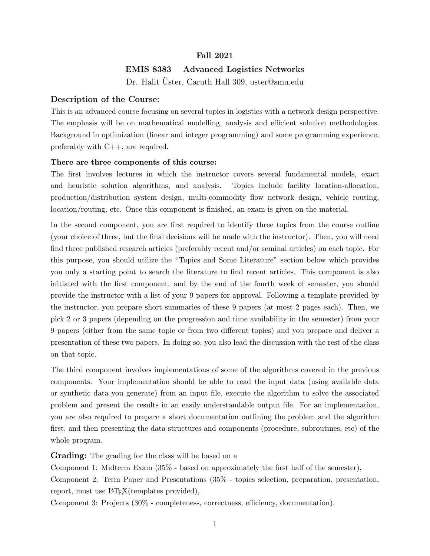#### Fall 2021

### EMIS 8383 Advanced Logistics Networks

Dr. Halit Uster, Caruth Hall 309, uster@smu.edu ¨

#### Description of the Course:

This is an advanced course focusing on several topics in logistics with a network design perspective. The emphasis will be on mathematical modelling, analysis and efficient solution methodologies. Background in optimization (linear and integer programming) and some programming experience, preferably with C++, are required.

#### There are three components of this course:

The first involves lectures in which the instructor covers several fundamental models, exact and heuristic solution algorithms, and analysis. Topics include facility location-allocation, production/distribution system design, multi-commodity flow network design, vehicle routing, location/routing, etc. Once this component is finished, an exam is given on the material.

In the second component, you are first required to identify three topics from the course outline (your choice of three, but the final decisions will be made with the instructor). Then, you will need find three published research articles (preferably recent and/or seminal articles) on each topic. For this purpose, you should utilize the "Topics and Some Literature" section below which provides you only a starting point to search the literature to find recent articles. This component is also initiated with the first component, and by the end of the fourth week of semester, you should provide the instructor with a list of your 9 papers for approval. Following a template provided by the instructor, you prepare short summaries of these 9 papers (at most 2 pages each). Then, we pick 2 or 3 papers (depending on the progression and time availability in the semester) from your 9 papers (either from the same topic or from two different topics) and you prepare and deliver a presentation of these two papers. In doing so, you also lead the discussion with the rest of the class on that topic.

The third component involves implementations of some of the algorithms covered in the previous components. Your implementation should be able to read the input data (using available data or synthetic data you generate) from an input file, execute the algorithm to solve the associated problem and present the results in an easily understandable output file. For an implementation, you are also required to prepare a short documentation outlining the problem and the algorithm first, and then presenting the data structures and components (procedure, subroutines, etc) of the whole program.

Grading: The grading for the class will be based on a

Component 1: Midterm Exam (35% - based on approximately the first half of the semester),

Component 2: Term Paper and Presentations (35% - topics selection, preparation, presentation, report, must use  $\text{LipX}(t)$  templates provided),

Component 3: Projects (30% - completeness, correctness, efficiency, documentation).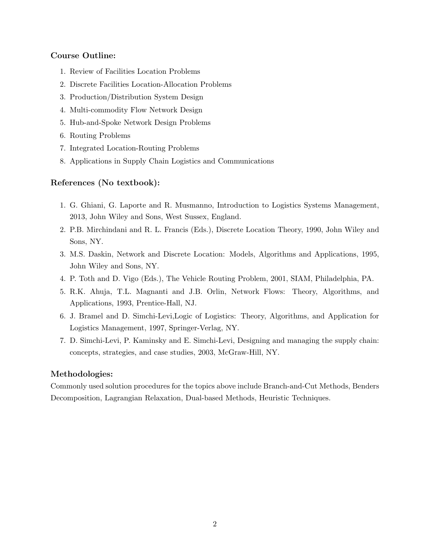### Course Outline:

- 1. Review of Facilities Location Problems
- 2. Discrete Facilities Location-Allocation Problems
- 3. Production/Distribution System Design
- 4. Multi-commodity Flow Network Design
- 5. Hub-and-Spoke Network Design Problems
- 6. Routing Problems
- 7. Integrated Location-Routing Problems
- 8. Applications in Supply Chain Logistics and Communications

### References (No textbook):

- 1. G. Ghiani, G. Laporte and R. Musmanno, Introduction to Logistics Systems Management, 2013, John Wiley and Sons, West Sussex, England.
- 2. P.B. Mirchindani and R. L. Francis (Eds.), Discrete Location Theory, 1990, John Wiley and Sons, NY.
- 3. M.S. Daskin, Network and Discrete Location: Models, Algorithms and Applications, 1995, John Wiley and Sons, NY.
- 4. P. Toth and D. Vigo (Eds.), The Vehicle Routing Problem, 2001, SIAM, Philadelphia, PA.
- 5. R.K. Ahuja, T.L. Magnanti and J.B. Orlin, Network Flows: Theory, Algorithms, and Applications, 1993, Prentice-Hall, NJ.
- 6. J. Bramel and D. Simchi-Levi,Logic of Logistics: Theory, Algorithms, and Application for Logistics Management, 1997, Springer-Verlag, NY.
- 7. D. Simchi-Levi, P. Kaminsky and E. Simchi-Levi, Designing and managing the supply chain: concepts, strategies, and case studies, 2003, McGraw-Hill, NY.

### Methodologies:

Commonly used solution procedures for the topics above include Branch-and-Cut Methods, Benders Decomposition, Lagrangian Relaxation, Dual-based Methods, Heuristic Techniques.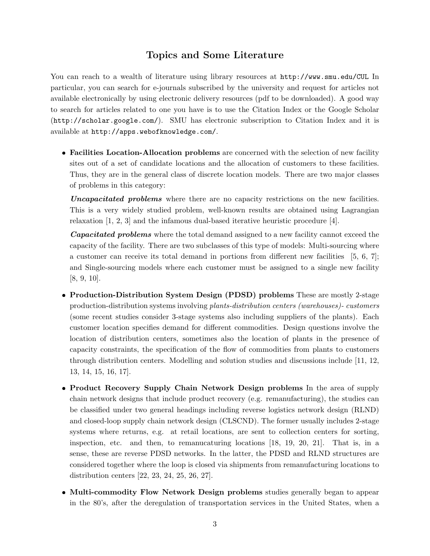## Topics and Some Literature

You can reach to a wealth of literature using library resources at http://www.smu.edu/CUL In particular, you can search for e-journals subscribed by the university and request for articles not available electronically by using electronic delivery resources (pdf to be downloaded). A good way to search for articles related to one you have is to use the Citation Index or the Google Scholar (http://scholar.google.com/). SMU has electronic subscription to Citation Index and it is available at http://apps.webofknowledge.com/.

 Facilities Location-Allocation problems are concerned with the selection of new facility sites out of a set of candidate locations and the allocation of customers to these facilities. Thus, they are in the general class of discrete location models. There are two major classes of problems in this category:

Uncapacitated problems where there are no capacity restrictions on the new facilities. This is a very widely studied problem, well-known results are obtained using Lagrangian relaxation [1, 2, 3] and the infamous dual-based iterative heuristic procedure [4].

Capacitated problems where the total demand assigned to a new facility cannot exceed the capacity of the facility. There are two subclasses of this type of models: Multi-sourcing where a customer can receive its total demand in portions from different new facilities  $[5, 6, 7]$ ; and Single-sourcing models where each customer must be assigned to a single new facility [8, 9, 10].

- Production-Distribution System Design (PDSD) problems These are mostly 2-stage production-distribution systems involving plants-distribution centers (warehouses)- customers (some recent studies consider 3-stage systems also including suppliers of the plants). Each customer location specifies demand for different commodities. Design questions involve the location of distribution centers, sometimes also the location of plants in the presence of capacity constraints, the specification of the flow of commodities from plants to customers through distribution centers. Modelling and solution studies and discussions include [11, 12, 13, 14, 15, 16, 17].
- Product Recovery Supply Chain Network Design problems In the area of supply chain network designs that include product recovery (e.g. remanufacturing), the studies can be classified under two general headings including reverse logistics network design (RLND) and closed-loop supply chain network design (CLSCND). The former usually includes 2-stage systems where returns, e.g. at retail locations, are sent to collection centers for sorting, inspection, etc. and then, to remanucaturing locations [18, 19, 20, 21]. That is, in a sense, these are reverse PDSD networks. In the latter, the PDSD and RLND structures are considered together where the loop is closed via shipments from remanufacturing locations to distribution centers [22, 23, 24, 25, 26, 27].
- Multi-commodity Flow Network Design problems studies generally began to appear in the 80's, after the deregulation of transportation services in the United States, when a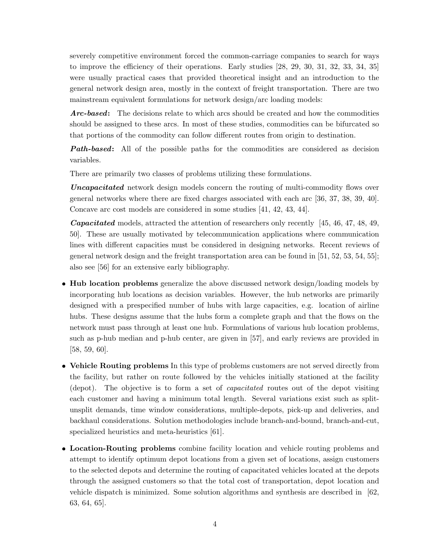severely competitive environment forced the common-carriage companies to search for ways to improve the efficiency of their operations. Early studies [28, 29, 30, 31, 32, 33, 34, 35] were usually practical cases that provided theoretical insight and an introduction to the general network design area, mostly in the context of freight transportation. There are two mainstream equivalent formulations for network design/arc loading models:

Arc-based: The decisions relate to which arcs should be created and how the commodities should be assigned to these arcs. In most of these studies, commodities can be bifurcated so that portions of the commodity can follow different routes from origin to destination.

**Path-based:** All of the possible paths for the commodities are considered as decision variables.

There are primarily two classes of problems utilizing these formulations.

Uncapacitated network design models concern the routing of multi-commodity flows over general networks where there are fixed charges associated with each arc [36, 37, 38, 39, 40]. Concave arc cost models are considered in some studies [41, 42, 43, 44].

Capacitated models, attracted the attention of researchers only recently [45, 46, 47, 48, 49, 50]. These are usually motivated by telecommunication applications where communication lines with different capacities must be considered in designing networks. Recent reviews of general network design and the freight transportation area can be found in [51, 52, 53, 54, 55]; also see [56] for an extensive early bibliography.

- Hub location problems generalize the above discussed network design/loading models by incorporating hub locations as decision variables. However, the hub networks are primarily designed with a prespecified number of hubs with large capacities, e.g. location of airline hubs. These designs assume that the hubs form a complete graph and that the flows on the network must pass through at least one hub. Formulations of various hub location problems, such as p-hub median and p-hub center, are given in [57], and early reviews are provided in [58, 59, 60].
- Vehicle Routing problems In this type of problems customers are not served directly from the facility, but rather on route followed by the vehicles initially stationed at the facility (depot). The objective is to form a set of capacitated routes out of the depot visiting each customer and having a minimum total length. Several variations exist such as splitunsplit demands, time window considerations, multiple-depots, pick-up and deliveries, and backhaul considerations. Solution methodologies include branch-and-bound, branch-and-cut, specialized heuristics and meta-heuristics [61].
- Location-Routing problems combine facility location and vehicle routing problems and attempt to identify optimum depot locations from a given set of locations, assign customers to the selected depots and determine the routing of capacitated vehicles located at the depots through the assigned customers so that the total cost of transportation, depot location and vehicle dispatch is minimized. Some solution algorithms and synthesis are described in [62, 63, 64, 65].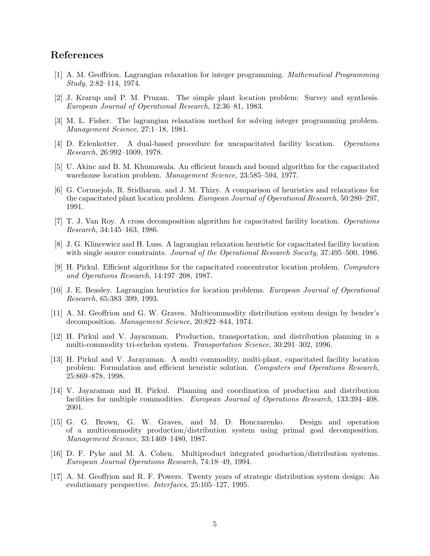## References

- [1] A. M. Geoffrion. Lagrangian relaxation for integer programming. Mathematical Programming Study, 2:82–114, 1974.
- [2] J. Krarup and P. M. Pruzan. The simple plant location problem: Survey and synthesis. European Journal of Operational Research, 12:36–81, 1983.
- [3] M. L. Fisher. The lagrangian relaxation method for solving integer programming problem. Management Science, 27:1–18, 1981.
- [4] D. Erlenkotter. A dual-based procedure for uncapacitated facility location. Operations Research, 26:992–1009, 1978.
- [5] U. Akinc and B. M. Khumawala. An efficient branch and bound algorithm for the capacitated warehouse location problem. Management Science, 23:585–594, 1977.
- [6] G. Cornuejols, R. Sridharan, and J. M. Thizy. A comparison of heuristics and relaxations for the capacitated plant location problem. European Journal of Operational Research, 50:280–297, 1991.
- [7] T. J. Van Roy. A cross decomposition algorithm for capacitated facility location. Operations Research, 34:145–163, 1986.
- [8] J. G. Klincewicz and H. Luss. A lagrangian relaxation heuristic for capacitated facility location with single source constraints. *Journal of the Operational Research Society*, 37:495–500, 1986.
- [9] H. Pirkul. Efficient algorithms for the capacitated concentrator location problem. Computers and Operations Research, 14:197–208, 1987.
- [10] J. E. Beasley. Lagrangian heuristics for location problems. European Journal of Operational Research, 65:383–399, 1993.
- [11] A. M. Geoffrion and G. W. Graves. Multicommodity distribution system design by bender's decomposition. Management Science, 20:822–844, 1974.
- [12] H. Pirkul and V. Jayaraman. Production, transportation, and distribution planning in a multi-commodity tri-echelon system. Transportation Science, 30:291–302, 1996.
- [13] H. Pirkul and V. Jarayaman. A multi commodity, multi-plant, capacitated facility location problem: Formulation and efficient heuristic solution. Computers and Operations Research, 25:869–878, 1998.
- [14] V. Jayaraman and H. Pirkul. Planning and coordination of production and distribution facilities for multiple commodities. European Journal of Operations Research, 133:394–408, 2001.
- [15] G. G. Brown, G. W. Graves, and M. D. Honczarenko. Design and operation of a multicommodity production/distribution system using primal goal decomposition. Management Science, 33:1469–1480, 1987.
- [16] D. F. Pyke and M. A. Cohen. Multiproduct integrated production/distribution systems. European Journal Operations Research, 74:18–49, 1994.
- [17] A. M. Geoffrion and R. F. Powers. Twenty years of strategic distribution system design: An evolutionary perspective. Interfaces, 25:105–127, 1995.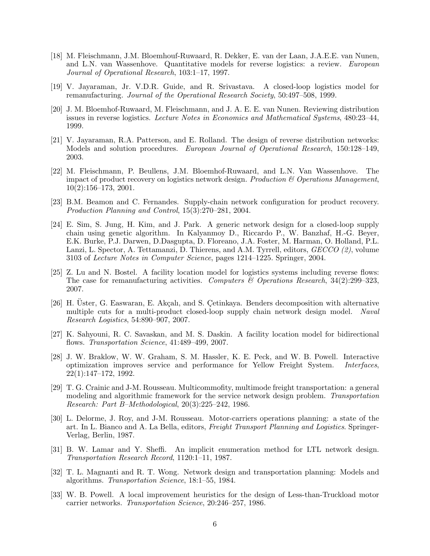- [18] M. Fleischmann, J.M. Bloemhouf-Ruwaard, R. Dekker, E. van der Laan, J.A.E.E. van Nunen, and L.N. van Wassenhove. Quantitative models for reverse logistics: a review. European Journal of Operational Research, 103:1–17, 1997.
- [19] V. Jayaraman, Jr. V.D.R. Guide, and R. Srivastava. A closed-loop logistics model for remanufacturing. Journal of the Operational Research Society, 50:497–508, 1999.
- [20] J. M. Bloemhof-Ruwaard, M. Fleischmann, and J. A. E. E. van Nunen. Reviewing distribution issues in reverse logistics. Lecture Notes in Economics and Mathematical Systems, 480:23–44, 1999.
- [21] V. Jayaraman, R.A. Patterson, and E. Rolland. The design of reverse distribution networks: Models and solution procedures. European Journal of Operational Research, 150:128–149, 2003.
- [22] M. Fleischmann, P. Beullens, J.M. Bloemhof-Ruwaard, and L.N. Van Wassenhove. The impact of product recovery on logistics network design. Production  $\mathcal{C}$  Operations Management, 10(2):156–173, 2001.
- [23] B.M. Beamon and C. Fernandes. Supply-chain network configuration for product recovery. Production Planning and Control, 15(3):270–281, 2004.
- [24] E. Sim, S. Jung, H. Kim, and J. Park. A generic network design for a closed-loop supply chain using genetic algorithm. In Kalyanmoy D., Riccardo P., W. Banzhaf, H.-G. Beyer, E.K. Burke, P.J. Darwen, D.Dasgupta, D. Floreano, J.A. Foster, M. Harman, O. Holland, P.L. Lanzi, L. Spector, A. Tettamanzi, D. Thierens, and A.M. Tyrrell, editors, GECCO (2), volume 3103 of Lecture Notes in Computer Science, pages 1214–1225. Springer, 2004.
- [25] Z. Lu and N. Bostel. A facility location model for logistics systems including reverse flows: The case for remanufacturing activities. Computers & Operations Research,  $34(2):299-323$ , 2007.
- [26] H. Uster, G. Easwaran, E. Akçalı, and S. Çetinkaya. Benders decomposition with alternative multiple cuts for a multi-product closed-loop supply chain network design model. Naval Research Logistics, 54:890–907, 2007.
- [27] K. Sahyouni, R. C. Savaskan, and M. S. Daskin. A facility location model for bidirectional flows. Transportation Science, 41:489-499, 2007.
- [28] J. W. Braklow, W. W. Graham, S. M. Hassler, K. E. Peck, and W. B. Powell. Interactive optimization improves service and performance for Yellow Freight System. Interfaces, 22(1):147–172, 1992.
- [29] T. G. Crainic and J-M. Rousseau. Multicommofity, multimode freight transportation: a general modeling and algorithmic framework for the service network design problem. Transportation Research: Part B–Methodological, 20(3):225–242, 1986.
- [30] L. Delorme, J. Roy, and J-M. Rousseau. Motor-carriers operations planning: a state of the art. In L. Bianco and A. La Bella, editors, Freight Transport Planning and Logistics. Springer-Verlag, Berlin, 1987.
- [31] B. W. Lamar and Y. Sheffi. An implicit enumeration method for LTL network design. Transportation Research Record, 1120:1–11, 1987.
- [32] T. L. Magnanti and R. T. Wong. Network design and transportation planning: Models and algorithms. Transportation Science, 18:1–55, 1984.
- [33] W. B. Powell. A local improvement heuristics for the design of Less-than-Truckload motor carrier networks. Transportation Science, 20:246–257, 1986.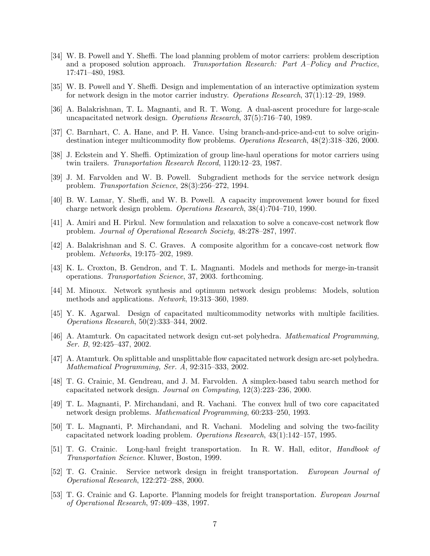- [34] W. B. Powell and Y. Sheffi. The load planning problem of motor carriers: problem description and a proposed solution approach. Transportation Research: Part A–Policy and Practice, 17:471–480, 1983.
- [35] W. B. Powell and Y. Sheffi. Design and implementation of an interactive optimization system for network design in the motor carrier industry. Operations Research, 37(1):12–29, 1989.
- [36] A. Balakrishnan, T. L. Magnanti, and R. T. Wong. A dual-ascent procedure for large-scale uncapacitated network design. Operations Research, 37(5):716–740, 1989.
- [37] C. Barnhart, C. A. Hane, and P. H. Vance. Using branch-and-price-and-cut to solve origindestination integer multicommodity flow problems. Operations Research, 48(2):318–326, 2000.
- [38] J. Eckstein and Y. Sheffi. Optimization of group line-haul operations for motor carriers using twin trailers. Transportation Research Record, 1120:12–23, 1987.
- [39] J. M. Farvolden and W. B. Powell. Subgradient methods for the service network design problem. Transportation Science, 28(3):256–272, 1994.
- [40] B. W. Lamar, Y. Sheffi, and W. B. Powell. A capacity improvement lower bound for fixed charge network design problem. Operations Research, 38(4):704–710, 1990.
- [41] A. Amiri and H. Pirkul. New formulation and relaxation to solve a concave-cost network flow problem. Journal of Operational Research Society, 48:278–287, 1997.
- [42] A. Balakrishnan and S. C. Graves. A composite algorithm for a concave-cost network flow problem. Networks, 19:175–202, 1989.
- [43] K. L. Croxton, B. Gendron, and T. L. Magnanti. Models and methods for merge-in-transit operations. Transportation Science, 37, 2003. forthcoming.
- [44] M. Minoux. Network synthesis and optimum network design problems: Models, solution methods and applications. Network, 19:313–360, 1989.
- [45] Y. K. Agarwal. Design of capacitated multicommodity networks with multiple facilities. Operations Research, 50(2):333–344, 2002.
- [46] A. Atamturk. On capacitated network design cut-set polyhedra. Mathematical Programming, Ser. B, 92:425–437, 2002.
- [47] A. Atamturk. On splittable and unsplittable flow capacitated network design arc-set polyhedra. Mathematical Programming, Ser. A, 92:315–333, 2002.
- [48] T. G. Crainic, M. Gendreau, and J. M. Farvolden. A simplex-based tabu search method for capacitated network design. Journal on Computing, 12(3):223–236, 2000.
- [49] T. L. Magnanti, P. Mirchandani, and R. Vachani. The convex hull of two core capacitated network design problems. Mathematical Programming, 60:233–250, 1993.
- [50] T. L. Magnanti, P. Mirchandani, and R. Vachani. Modeling and solving the two-facility capacitated network loading problem. Operations Research, 43(1):142–157, 1995.
- [51] T. G. Crainic. Long-haul freight transportation. In R. W. Hall, editor, Handbook of Transportation Science. Kluwer, Boston, 1999.
- [52] T. G. Crainic. Service network design in freight transportation. European Journal of Operational Research, 122:272–288, 2000.
- [53] T. G. Crainic and G. Laporte. Planning models for freight transportation. European Journal of Operational Research, 97:409–438, 1997.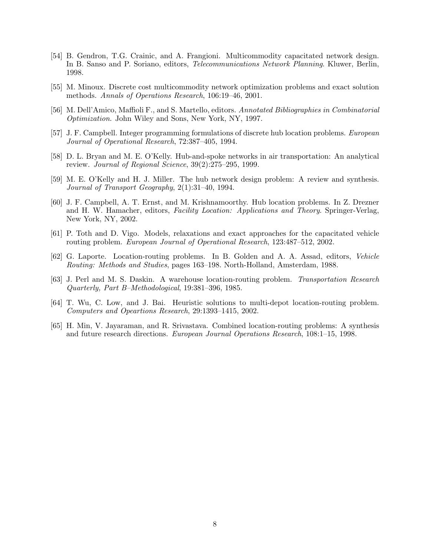- [54] B. Gendron, T.G. Crainic, and A. Frangioni. Multicommodity capacitated network design. In B. Sanso and P. Soriano, editors, Telecommunications Network Planning. Kluwer, Berlin, 1998.
- [55] M. Minoux. Discrete cost multicommodity network optimization problems and exact solution methods. Annals of Operations Research, 106:19–46, 2001.
- [56] M. Dell'Amico, Maffioli F., and S. Martello, editors. Annotated Bibliographies in Combinatorial Optimization. John Wiley and Sons, New York, NY, 1997.
- [57] J. F. Campbell. Integer programming formulations of discrete hub location problems. European Journal of Operational Research, 72:387–405, 1994.
- [58] D. L. Bryan and M. E. O'Kelly. Hub-and-spoke networks in air transportation: An analytical review. Journal of Regional Science, 39(2):275–295, 1999.
- [59] M. E. O'Kelly and H. J. Miller. The hub network design problem: A review and synthesis. Journal of Transport Geography, 2(1):31–40, 1994.
- [60] J. F. Campbell, A. T. Ernst, and M. Krishnamoorthy. Hub location problems. In Z. Drezner and H. W. Hamacher, editors, *Facility Location: Applications and Theory*. Springer-Verlag, New York, NY, 2002.
- [61] P. Toth and D. Vigo. Models, relaxations and exact approaches for the capacitated vehicle routing problem. European Journal of Operational Research, 123:487–512, 2002.
- [62] G. Laporte. Location-routing problems. In B. Golden and A. A. Assad, editors, Vehicle Routing: Methods and Studies, pages 163–198. North-Holland, Amsterdam, 1988.
- [63] J. Perl and M. S. Daskin. A warehouse location-routing problem. Transportation Research Quarterly, Part B–Methodological, 19:381–396, 1985.
- [64] T. Wu, C. Low, and J. Bai. Heuristic solutions to multi-depot location-routing problem. Computers and Opeartions Research, 29:1393–1415, 2002.
- [65] H. Min, V. Jayaraman, and R. Srivastava. Combined location-routing problems: A synthesis and future research directions. European Journal Operations Research, 108:1–15, 1998.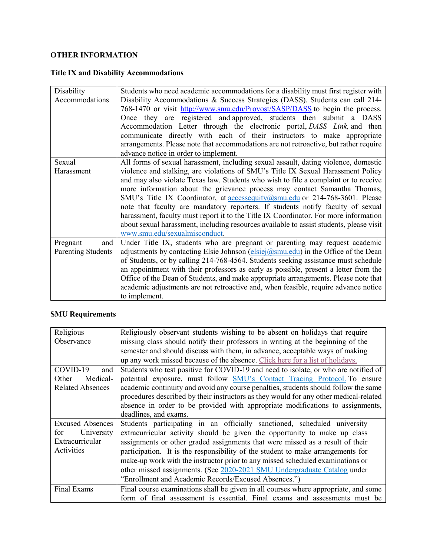## **OTHER INFORMATION**

## **Title IX and Disability Accommodations**

| Disability                | Students who need academic accommodations for a disability must first register with     |
|---------------------------|-----------------------------------------------------------------------------------------|
| Accommodations            | Disability Accommodations & Success Strategies (DASS). Students can call 214-           |
|                           | 768-1470 or visit http://www.smu.edu/Provost/SASP/DASS to begin the process.            |
|                           | Once they are registered and approved, students then submit a DASS                      |
|                           | Accommodation Letter through the electronic portal, DASS Link, and then                 |
|                           | communicate directly with each of their instructors to make appropriate                 |
|                           | arrangements. Please note that accommodations are not retroactive, but rather require   |
|                           | advance notice in order to implement.                                                   |
| Sexual                    | All forms of sexual harassment, including sexual assault, dating violence, domestic     |
| Harassment                | violence and stalking, are violations of SMU's Title IX Sexual Harassment Policy        |
|                           | and may also violate Texas law. Students who wish to file a complaint or to receive     |
|                           | more information about the grievance process may contact Samantha Thomas,               |
|                           | SMU's Title IX Coordinator, at accessed uity $(a)$ smu.edu or 214-768-3601. Please      |
|                           | note that faculty are mandatory reporters. If students notify faculty of sexual         |
|                           | harassment, faculty must report it to the Title IX Coordinator. For more information    |
|                           | about sexual harassment, including resources available to assist students, please visit |
|                           | www.smu.edu/sexualmisconduct.                                                           |
| Pregnant<br>and           | Under Title IX, students who are pregnant or parenting may request academic             |
| <b>Parenting Students</b> | adjustments by contacting Elsie Johnson (elsiej@smu.edu) in the Office of the Dean      |
|                           | of Students, or by calling 214-768-4564. Students seeking assistance must schedule      |
|                           | an appointment with their professors as early as possible, present a letter from the    |
|                           | Office of the Dean of Students, and make appropriate arrangements. Please note that     |
|                           | academic adjustments are not retroactive and, when feasible, require advance notice     |
|                           | to implement.                                                                           |

# **SMU Requirements**

| Religious               | Religiously observant students wishing to be absent on holidays that require          |
|-------------------------|---------------------------------------------------------------------------------------|
| Observance              | missing class should notify their professors in writing at the beginning of the       |
|                         | semester and should discuss with them, in advance, acceptable ways of making          |
|                         | up any work missed because of the absence. Click here for a list of holidays.         |
| COVID-19<br>and         | Students who test positive for COVID-19 and need to isolate, or who are notified of   |
| Medical-<br>Other       | potential exposure, must follow SMU's Contact Tracing Protocol. To ensure             |
| <b>Related Absences</b> | academic continuity and avoid any course penalties, students should follow the same   |
|                         | procedures described by their instructors as they would for any other medical-related |
|                         | absence in order to be provided with appropriate modifications to assignments,        |
|                         | deadlines, and exams.                                                                 |
| <b>Excused Absences</b> | Students participating in an officially sanctioned, scheduled university              |
| University<br>for       | extracurricular activity should be given the opportunity to make up class             |
| Extracurricular         | assignments or other graded assignments that were missed as a result of their         |
| Activities              | participation. It is the responsibility of the student to make arrangements for       |
|                         | make-up work with the instructor prior to any missed scheduled examinations or        |
|                         | other missed assignments. (See 2020-2021 SMU Undergraduate Catalog under              |
|                         | "Enrollment and Academic Records/Excused Absences.")                                  |
| Final Exams             | Final course examinations shall be given in all courses where appropriate, and some   |
|                         | form of final assessment is essential. Final exams and assessments must be            |